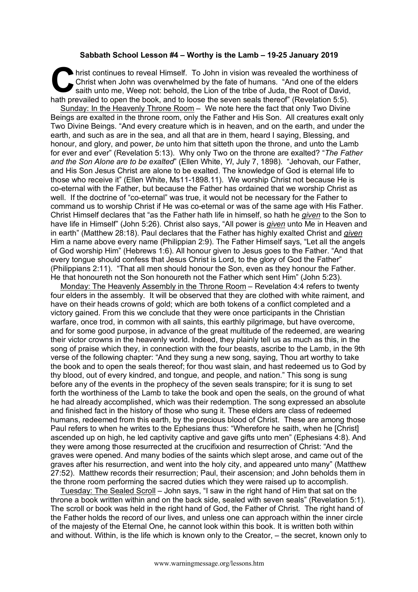## **Sabbath School Lesson #4 – Worthy is the Lamb – 19-25 January 2019**

hrist continues to reveal Himself. To John in vision was revealed the worthiness of Christ when John was overwhelmed by the fate of humans. "And one of the elders saith unto me, Weep not: behold, the Lion of the tribe of J Christ when John was overwhelmed by the fate of humans. "And one of the elders saith unto me, Weep not: behold, the Lion of the tribe of Juda, the Root of David, hath prevailed to open the book, and to loose the seven seals thereof" (Revelation 5:5).

Sunday: In the Heavenly Throne Room – We note here the fact that only Two Divine Beings are exalted in the throne room, only the Father and His Son. All creatures exalt only Two Divine Beings. "And every creature which is in heaven, and on the earth, and under the earth, and such as are in the sea, and all that are in them, heard I saying, Blessing, and honour, and glory, and power, *be* unto him that sitteth upon the throne, and unto the Lamb for ever and ever" (Revelation 5:13). Why only Two on the throne are exalted? "*The Father and the Son Alone are to be exalted*" (Ellen White, *YI*, July 7, 1898). "Jehovah, our Father, and His Son Jesus Christ are alone to be exalted. The knowledge of God is eternal life to those who receive it" (Ellen White, Ms11-1898.11). We worship Christ not because He is co-eternal with the Father, but because the Father has ordained that we worship Christ as well. If the doctrine of "co-eternal" was true, it would not be necessary for the Father to command us to worship Christ if He was co-eternal or was of the same age with His Father. Christ Himself declares that "as the Father hath life in himself, so hath he *given* to the Son to have life in Himself" (John 5:26). Christ also says, "All power is *given* unto Me in Heaven and in earth" (Matthew 28:18). Paul declares that the Father has highly exalted Christ and *given* Him a name above every name (Philippian 2:9). The Father Himself says, "Let all the angels of God worship Him" (Hebrews 1:6). All honour given to Jesus goes to the Father. "And that every tongue should confess that Jesus Christ is Lord, to the glory of God the Father" (Philippians 2:11). "That all men should honour the Son, even as they honour the Father. He that honoureth not the Son honoureth not the Father which sent Him" (John 5:23).

Monday: The Heavenly Assembly in the Throne Room – Revelation 4:4 refers to twenty four elders in the assembly. It will be observed that they are clothed with white raiment, and have on their heads crowns of gold; which are both tokens of a conflict completed and a victory gained. From this we conclude that they were once participants in the Christian warfare, once trod, in common with all saints, this earthly pilgrimage, but have overcome, and for some good purpose, in advance of the great multitude of the redeemed, are wearing their victor crowns in the heavenly world. Indeed, they plainly tell us as much as this, in the song of praise which they, in connection with the four beasts, ascribe to the Lamb, in the 9th verse of the following chapter: "And they sung a new song, saying, Thou art worthy to take the book and to open the seals thereof; for thou wast slain, and hast redeemed us to God by thy blood, out of every kindred, and tongue, and people, and nation." This song is sung before any of the events in the prophecy of the seven seals transpire; for it is sung to set forth the worthiness of the Lamb to take the book and open the seals, on the ground of what he had already accomplished, which was their redemption. The song expressed an absolute and finished fact in the history of those who sung it. These elders are class of redeemed humans, redeemed from this earth, by the precious blood of Christ. These are among those Paul refers to when he writes to the Ephesians thus: "Wherefore he saith, when he [Christ] ascended up on high, he led captivity captive and gave gifts unto men" (Ephesians 4:8). And they were among those resurrected at the crucifixion and resurrection of Christ: "And the graves were opened. And many bodies of the saints which slept arose, and came out of the graves after his resurrection, and went into the holy city, and appeared unto many" (Matthew 27:52). Matthew records their resurrection; Paul, their ascension; and John beholds them in the throne room performing the sacred duties which they were raised up to accomplish.

Tuesday: The Sealed Scroll – John says, "I saw in the right hand of Him that sat on the throne a book written within and on the back side, sealed with seven seals" (Revelation 5:1). The scroll or book was held in the right hand of God, the Father of Christ. The right hand of the Father holds the record of our lives, and unless one can approach within the inner circle of the majesty of the Eternal One, he cannot look within this book. It is written both within and without. Within, is the life which is known only to the Creator, – the secret, known only to